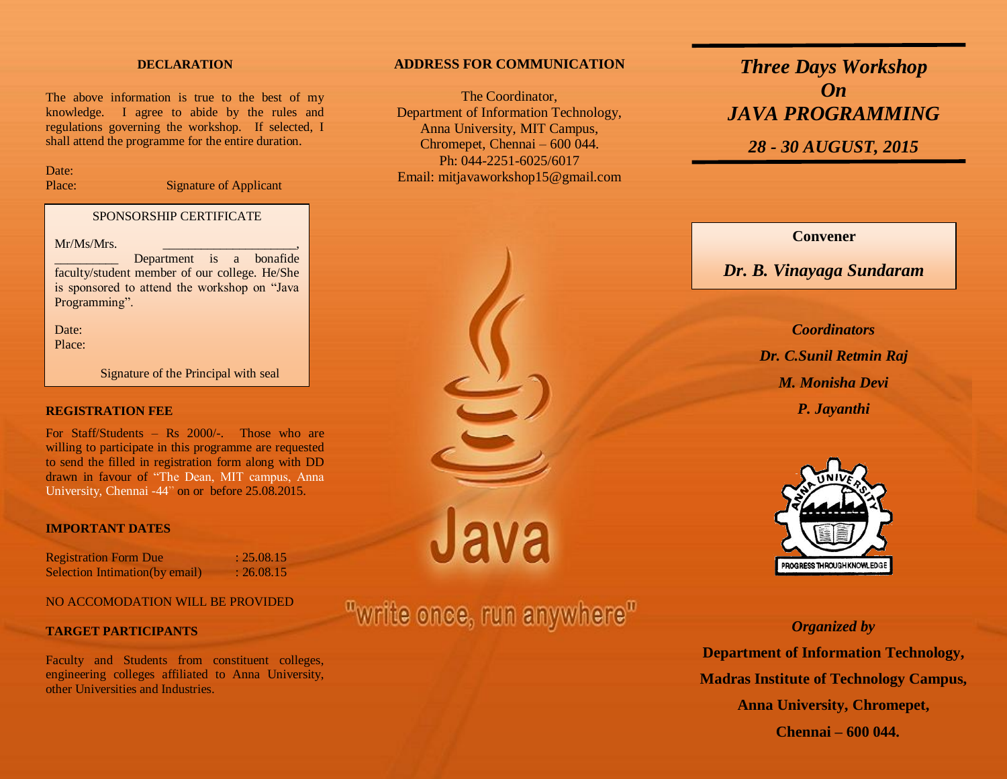#### **DECLARATION**

The above information is true to the best of my knowledge. I agree to abide by the rules and regulations governing the workshop. If selected, I shall attend the programme for the entire duration.

Date:

Place: Signature of Applicant

#### SPONSORSHIP CERTIFICATE

 $Mr/Ms/Mrs$ .

Department is a bonafide faculty/student member of our college. He/She is sponsored to attend the workshop on "Java Programming".

Date: Place:

Signature of the Principal with seal

#### **REGISTRATION FEE**

For Staff/Students – Rs 2000/-. Those who are willing to participate in this programme are requested to send the filled in registration form along with DD drawn in favour of "The Dean, MIT campus, Anna University, Chennai -44" on or before 25.08.2015.

#### **IMPORTANT DATES**

Registration Form Due : 25.08.15 Selection Intimation(by email) : 26.08.15

## NO ACCOMODATION WILL BE PROVIDED

#### **TARGET PARTICIPANTS**

Faculty and Students from constituent colleges, engineering colleges affiliated to Anna University, other Universities and Industries.

#### **ADDRESS FOR COMMUNICATION**

The Coordinator, Department of Information Technology, Anna University, MIT Campus, Chromepet, Chennai – 600 044. Ph: 044-2251-6025/6017 Email: mitjavaworkshop15@gmail.com

## *Three Days Workshop On JAVA PROGRAMMING*

*28 - 30 AUGUST, 2015*

## **Convener**

## *Dr. B. Vinayaga Sundaram*

*Coordinators Dr. C.Sunil Retmin Raj M. Monisha Devi P. Jayanthi*



## *Organized by*

**Department of Information Technology, Madras Institute of Technology Campus, Anna University, Chromepet, Chennai – 600 044.**

Java

# "write once, run anywhere"